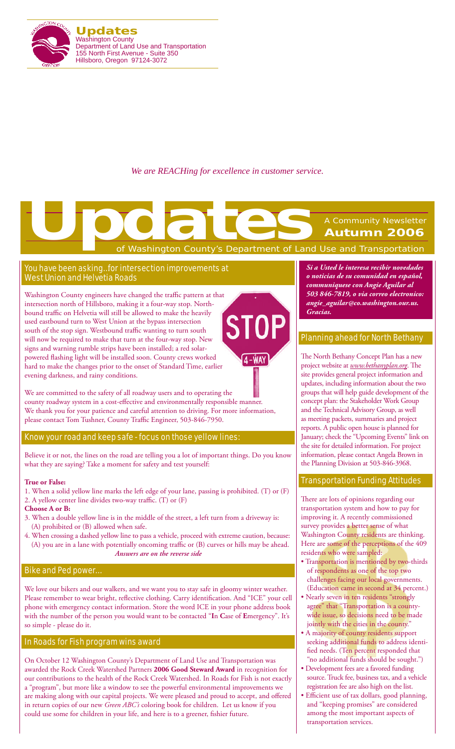

*We are REACHing for excellence in customer service.*

# of Washington County's Department of Land Use and Transportation A Community Newsletter **Autumn 2006 Updates**<br>The Control of Washington County's Department of Land

 $4 - WAY$ 

## You have been asking…for intersection improvements at West Union and Helvetia Roads

Washington County engineers have changed the traffic pattern at that intersection north of Hillsboro, making it a four-way stop. Northbound traffic on Helvetia will still be allowed to make the heavily ST used eastbound turn to West Union at the bypass intersection south of the stop sign. Westbound traffic wanting to turn south will now be required to make that turn at the four-way stop. New signs and warning rumble strips have been installed; a red solarpowered flashing light will be installed soon. County crews worked hard to make the changes prior to the onset of Standard Time, earlier evening darkness, and rainy conditions.

We are committed to the safety of all roadway users and to operating the county roadway system in a cost-effective and environmentally responsible manner. We thank you for your patience and careful attention to driving. For more information, please contact Tom Tushner, County Traffic Engineer, 503-846-7950.

Know your road and keep safe - focus on those yellow lines:

Believe it or not, the lines on the road are telling you a lot of important things. Do you know what they are saying? Take a moment for safety and test yourself:

#### **True or False:**

1. When a solid yellow line marks the left edge of your lane, passing is prohibited. (T) or (F) 2. A yellow center line divides two-way traffic. (T) or (F)

#### **Choose A or B:**

- 3. When a double yellow line is in the middle of the street, a left turn from a driveway is: (A) prohibited or (B) allowed when safe.
- 4. When crossing a dashed yellow line to pass a vehicle, proceed with extreme caution, because: (A) you are in a lane with potentially oncoming traffic or (B) curves or hills may be ahead. *Answers are on the reverse side*

## Bike and Ped power…

We love our bikers and our walkers, and we want you to stay safe in gloomy winter weather. Please remember to wear bright, reflective clothing. Carry identification. And "ICE" your cell phone with emergency contact information. Store the word ICE in your phone address book with the number of the person you would want to be contacted "**I**n **C**ase of **E**mergency". It's so simple - please do it.

## In Roads for Fish program wins award

On October 12 Washington County's Department of Land Use and Transportation was awarded the Rock Creek Watershed Partners **2006 Good Steward Award** in recognition for our contributions to the health of the Rock Creek Watershed. In Roads for Fish is not exactly a "program", but more like a window to see the powerful environmental improvements we are making along with our capital projects. We were pleased and proud to accept, and offered in return copies of our new *Green ABC's* coloring book for children. Let us know if you could use some for children in your life, and here is to a greener, fishier future.

*Si a Usted le interesa recibir novedades o noticias de su comunidad en español, communiquese con Angie Aguilar al 503 846-7819, o via correo electronico: angie\_aguilar@co.washington.our.us. Gracias.*

## Planning ahead for North Bethany

The North Bethany Concept Plan has a new project website at *www.bethanyplan.org*. The site provides general project information and updates, including information about the two groups that will help guide development of the concept plan: the Stakeholder Work Group and the Technical Advisory Group, as well as meeting packets, summaries and project reports. A public open house is planned for January; check the "Upcoming Events" link on the site for detailed information. For project information, please contact Angela Brown in the Planning Division at 503-846-3968.

## Transportation Funding Attitudes

There are lots of opinions regarding our transportation system and how to pay for improving it. A recently commissioned survey provides a better sense of what Washington County residents are thinking. Here are some of the perceptions of the 409 residents who were sampled:

- Transportation is mentioned by two-thirds of respondents as one of the top two challenges facing our local governments. (Education came in second at 34 percent.)
- Nearly seven in ten residents "strongly agree" that "Transportation is a countywide issue, so decisions need to be made jointly with the cities in the county."
- A majority of county residents support seeking additional funds to address identified needs. (Ten percent responded that "no additional funds should be sought.")
- Development fees are a favored funding source. Truck fee, business tax, and a vehicle registration fee are also high on the list.
- Efficient use of tax dollars, good planning, and "keeping promises" are considered among the most important aspects of transportation services.